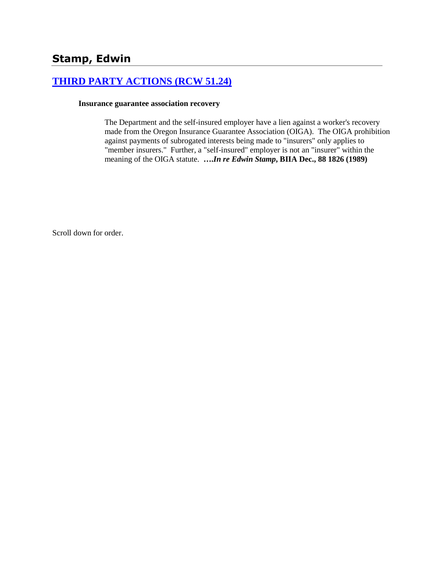# **[THIRD PARTY ACTIONS \(RCW 51.24\)](http://www.biia.wa.gov/SDSubjectIndex.html#THIRD_PARTY_ACTIONS)**

#### **Insurance guarantee association recovery**

The Department and the self-insured employer have a lien against a worker's recovery made from the Oregon Insurance Guarantee Association (OIGA). The OIGA prohibition against payments of subrogated interests being made to "insurers" only applies to "member insurers." Further, a "self-insured" employer is not an "insurer" within the meaning of the OIGA statute. **….***In re Edwin Stamp***, BIIA Dec., 88 1826 (1989)** 

Scroll down for order.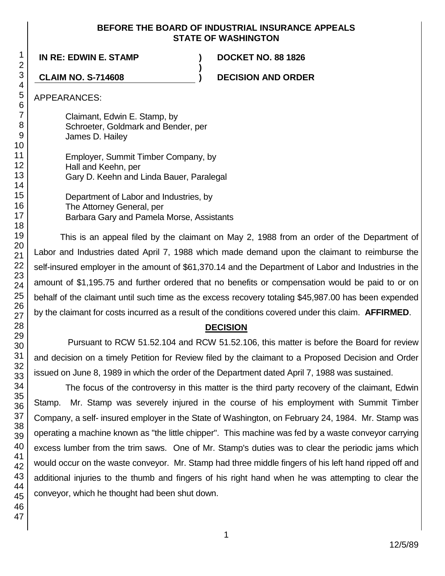#### **BEFORE THE BOARD OF INDUSTRIAL INSURANCE APPEALS STATE OF WASHINGTON**

**)**

**IN RE: EDWIN E. STAMP ) DOCKET NO. 88 1826**

**CLAIM NO. S-714608 ) DECISION AND ORDER**

APPEARANCES:

Claimant, Edwin E. Stamp, by Schroeter, Goldmark and Bender, per James D. Hailey

Employer, Summit Timber Company, by Hall and Keehn, per Gary D. Keehn and Linda Bauer, Paralegal

Department of Labor and Industries, by The Attorney General, per Barbara Gary and Pamela Morse, Assistants

This is an appeal filed by the claimant on May 2, 1988 from an order of the Department of Labor and Industries dated April 7, 1988 which made demand upon the claimant to reimburse the self-insured employer in the amount of \$61,370.14 and the Department of Labor and Industries in the amount of \$1,195.75 and further ordered that no benefits or compensation would be paid to or on behalf of the claimant until such time as the excess recovery totaling \$45,987.00 has been expended by the claimant for costs incurred as a result of the conditions covered under this claim. **AFFIRMED**.

## **DECISION**

Pursuant to RCW 51.52.104 and RCW 51.52.106, this matter is before the Board for review and decision on a timely Petition for Review filed by the claimant to a Proposed Decision and Order issued on June 8, 1989 in which the order of the Department dated April 7, 1988 was sustained.

The focus of the controversy in this matter is the third party recovery of the claimant, Edwin Stamp. Mr. Stamp was severely injured in the course of his employment with Summit Timber Company, a self- insured employer in the State of Washington, on February 24, 1984. Mr. Stamp was operating a machine known as "the little chipper". This machine was fed by a waste conveyor carrying excess lumber from the trim saws. One of Mr. Stamp's duties was to clear the periodic jams which would occur on the waste conveyor. Mr. Stamp had three middle fingers of his left hand ripped off and additional injuries to the thumb and fingers of his right hand when he was attempting to clear the conveyor, which he thought had been shut down.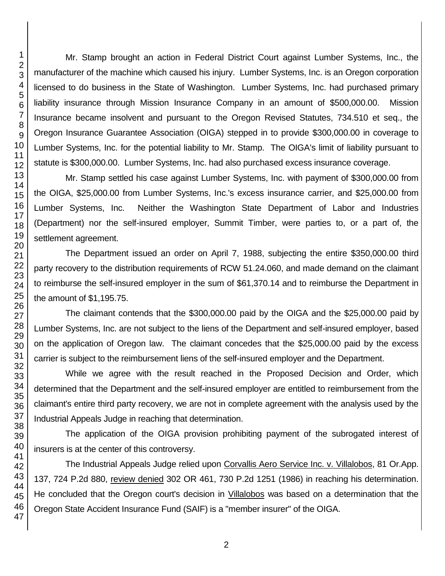Mr. Stamp brought an action in Federal District Court against Lumber Systems, Inc., the manufacturer of the machine which caused his injury. Lumber Systems, Inc. is an Oregon corporation licensed to do business in the State of Washington. Lumber Systems, Inc. had purchased primary liability insurance through Mission Insurance Company in an amount of \$500,000.00. Mission Insurance became insolvent and pursuant to the Oregon Revised Statutes, 734.510 et seq., the Oregon Insurance Guarantee Association (OIGA) stepped in to provide \$300,000.00 in coverage to Lumber Systems, Inc. for the potential liability to Mr. Stamp. The OIGA's limit of liability pursuant to statute is \$300,000.00. Lumber Systems, Inc. had also purchased excess insurance coverage.

Mr. Stamp settled his case against Lumber Systems, Inc. with payment of \$300,000.00 from the OIGA, \$25,000.00 from Lumber Systems, Inc.'s excess insurance carrier, and \$25,000.00 from Lumber Systems, Inc. Neither the Washington State Department of Labor and Industries (Department) nor the self-insured employer, Summit Timber, were parties to, or a part of, the settlement agreement.

The Department issued an order on April 7, 1988, subjecting the entire \$350,000.00 third party recovery to the distribution requirements of RCW 51.24.060, and made demand on the claimant to reimburse the self-insured employer in the sum of \$61,370.14 and to reimburse the Department in the amount of \$1,195.75.

The claimant contends that the \$300,000.00 paid by the OIGA and the \$25,000.00 paid by Lumber Systems, Inc. are not subject to the liens of the Department and self-insured employer, based on the application of Oregon law. The claimant concedes that the \$25,000.00 paid by the excess carrier is subject to the reimbursement liens of the self-insured employer and the Department.

While we agree with the result reached in the Proposed Decision and Order, which determined that the Department and the self-insured employer are entitled to reimbursement from the claimant's entire third party recovery, we are not in complete agreement with the analysis used by the Industrial Appeals Judge in reaching that determination.

The application of the OIGA provision prohibiting payment of the subrogated interest of insurers is at the center of this controversy.

The Industrial Appeals Judge relied upon Corvallis Aero Service Inc. v. Villalobos, 81 Or.App. 137, 724 P.2d 880, review denied 302 OR 461, 730 P.2d 1251 (1986) in reaching his determination. He concluded that the Oregon court's decision in Villalobos was based on a determination that the Oregon State Accident Insurance Fund (SAIF) is a "member insurer" of the OIGA.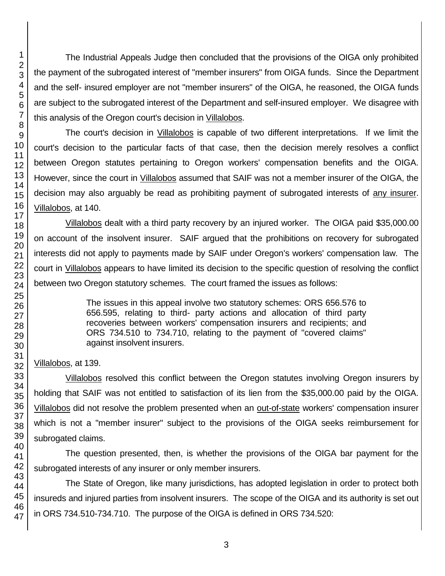The Industrial Appeals Judge then concluded that the provisions of the OIGA only prohibited the payment of the subrogated interest of "member insurers" from OIGA funds. Since the Department and the self- insured employer are not "member insurers" of the OIGA, he reasoned, the OIGA funds are subject to the subrogated interest of the Department and self-insured employer. We disagree with this analysis of the Oregon court's decision in Villalobos.

The court's decision in Villalobos is capable of two different interpretations. If we limit the court's decision to the particular facts of that case, then the decision merely resolves a conflict between Oregon statutes pertaining to Oregon workers' compensation benefits and the OIGA. However, since the court in Villalobos assumed that SAIF was not a member insurer of the OIGA, the decision may also arguably be read as prohibiting payment of subrogated interests of any insurer. Villalobos, at 140.

Villalobos dealt with a third party recovery by an injured worker. The OIGA paid \$35,000.00 on account of the insolvent insurer. SAIF argued that the prohibitions on recovery for subrogated interests did not apply to payments made by SAIF under Oregon's workers' compensation law. The court in Villalobos appears to have limited its decision to the specific question of resolving the conflict between two Oregon statutory schemes. The court framed the issues as follows:

> The issues in this appeal involve two statutory schemes: ORS 656.576 to 656.595, relating to third- party actions and allocation of third party recoveries between workers' compensation insurers and recipients; and ORS 734.510 to 734.710, relating to the payment of "covered claims" against insolvent insurers.

Villalobos, at 139.

Villalobos resolved this conflict between the Oregon statutes involving Oregon insurers by holding that SAIF was not entitled to satisfaction of its lien from the \$35,000.00 paid by the OIGA. Villalobos did not resolve the problem presented when an out-of-state workers' compensation insurer which is not a "member insurer" subject to the provisions of the OIGA seeks reimbursement for subrogated claims.

The question presented, then, is whether the provisions of the OIGA bar payment for the subrogated interests of any insurer or only member insurers.

The State of Oregon, like many jurisdictions, has adopted legislation in order to protect both insureds and injured parties from insolvent insurers. The scope of the OIGA and its authority is set out in ORS 734.510-734.710. The purpose of the OIGA is defined in ORS 734.520: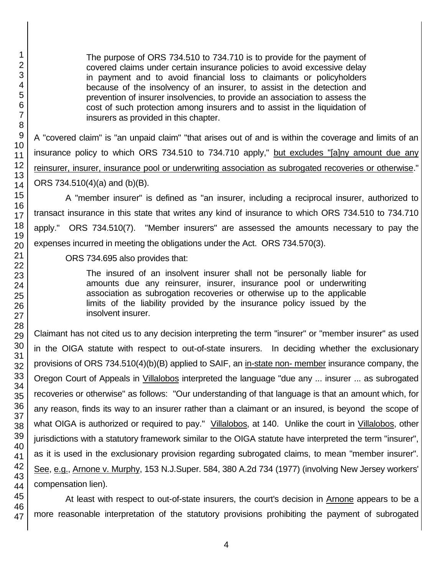The purpose of ORS 734.510 to 734.710 is to provide for the payment of covered claims under certain insurance policies to avoid excessive delay in payment and to avoid financial loss to claimants or policyholders because of the insolvency of an insurer, to assist in the detection and prevention of insurer insolvencies, to provide an association to assess the cost of such protection among insurers and to assist in the liquidation of insurers as provided in this chapter.

A "covered claim" is "an unpaid claim" "that arises out of and is within the coverage and limits of an insurance policy to which ORS 734.510 to 734.710 apply," but excludes "[a]ny amount due any reinsurer, insurer, insurance pool or underwriting association as subrogated recoveries or otherwise." ORS 734.510(4)(a) and (b)(B).

A "member insurer" is defined as "an insurer, including a reciprocal insurer, authorized to transact insurance in this state that writes any kind of insurance to which ORS 734.510 to 734.710 apply." ORS 734.510(7). "Member insurers" are assessed the amounts necessary to pay the expenses incurred in meeting the obligations under the Act. ORS 734.570(3).

ORS 734.695 also provides that:

The insured of an insolvent insurer shall not be personally liable for amounts due any reinsurer, insurer, insurance pool or underwriting association as subrogation recoveries or otherwise up to the applicable limits of the liability provided by the insurance policy issued by the insolvent insurer.

Claimant has not cited us to any decision interpreting the term "insurer" or "member insurer" as used in the OIGA statute with respect to out-of-state insurers. In deciding whether the exclusionary provisions of ORS 734.510(4)(b)(B) applied to SAIF, an in-state non- member insurance company, the Oregon Court of Appeals in *Villalobos* interpreted the language "due any ... insurer ... as subrogated recoveries or otherwise" as follows: "Our understanding of that language is that an amount which, for any reason, finds its way to an insurer rather than a claimant or an insured, is beyond the scope of what OIGA is authorized or required to pay." Villalobos, at 140. Unlike the court in Villalobos, other jurisdictions with a statutory framework similar to the OIGA statute have interpreted the term "insurer", as it is used in the exclusionary provision regarding subrogated claims, to mean "member insurer". See, e.g., Arnone v. Murphy, 153 N.J.Super. 584, 380 A.2d 734 (1977) (involving New Jersey workers' compensation lien).

At least with respect to out-of-state insurers, the court's decision in Arnone appears to be a more reasonable interpretation of the statutory provisions prohibiting the payment of subrogated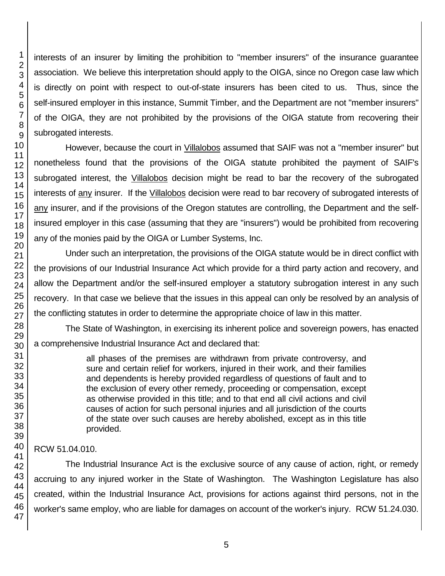interests of an insurer by limiting the prohibition to "member insurers" of the insurance guarantee association. We believe this interpretation should apply to the OIGA, since no Oregon case law which is directly on point with respect to out-of-state insurers has been cited to us. Thus, since the self-insured employer in this instance, Summit Timber, and the Department are not "member insurers" of the OIGA, they are not prohibited by the provisions of the OIGA statute from recovering their subrogated interests.

However, because the court in Villalobos assumed that SAIF was not a "member insurer" but nonetheless found that the provisions of the OIGA statute prohibited the payment of SAIF's subrogated interest, the Villalobos decision might be read to bar the recovery of the subrogated interests of any insurer. If the Villalobos decision were read to bar recovery of subrogated interests of any insurer, and if the provisions of the Oregon statutes are controlling, the Department and the selfinsured employer in this case (assuming that they are "insurers") would be prohibited from recovering any of the monies paid by the OIGA or Lumber Systems, Inc.

Under such an interpretation, the provisions of the OIGA statute would be in direct conflict with the provisions of our Industrial Insurance Act which provide for a third party action and recovery, and allow the Department and/or the self-insured employer a statutory subrogation interest in any such recovery. In that case we believe that the issues in this appeal can only be resolved by an analysis of the conflicting statutes in order to determine the appropriate choice of law in this matter.

The State of Washington, in exercising its inherent police and sovereign powers, has enacted a comprehensive Industrial Insurance Act and declared that:

> all phases of the premises are withdrawn from private controversy, and sure and certain relief for workers, injured in their work, and their families and dependents is hereby provided regardless of questions of fault and to the exclusion of every other remedy, proceeding or compensation, except as otherwise provided in this title; and to that end all civil actions and civil causes of action for such personal injuries and all jurisdiction of the courts of the state over such causes are hereby abolished, except as in this title provided.

## RCW 51.04.010.

The Industrial Insurance Act is the exclusive source of any cause of action, right, or remedy accruing to any injured worker in the State of Washington. The Washington Legislature has also created, within the Industrial Insurance Act, provisions for actions against third persons, not in the worker's same employ, who are liable for damages on account of the worker's injury. RCW 51.24.030.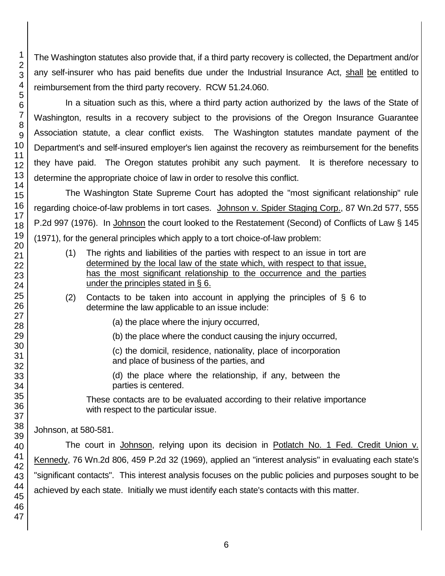The Washington statutes also provide that, if a third party recovery is collected, the Department and/or any self-insurer who has paid benefits due under the Industrial Insurance Act, shall be entitled to reimbursement from the third party recovery. RCW 51.24.060.

In a situation such as this, where a third party action authorized by the laws of the State of Washington, results in a recovery subject to the provisions of the Oregon Insurance Guarantee Association statute, a clear conflict exists. The Washington statutes mandate payment of the Department's and self-insured employer's lien against the recovery as reimbursement for the benefits they have paid. The Oregon statutes prohibit any such payment. It is therefore necessary to determine the appropriate choice of law in order to resolve this conflict.

The Washington State Supreme Court has adopted the "most significant relationship" rule regarding choice-of-law problems in tort cases. Johnson v. Spider Staging Corp., 87 Wn.2d 577, 555 P.2d 997 (1976). In Johnson the court looked to the Restatement (Second) of Conflicts of Law § 145 (1971), for the general principles which apply to a tort choice-of-law problem:

- (1) The rights and liabilities of the parties with respect to an issue in tort are determined by the local law of the state which, with respect to that issue, has the most significant relationship to the occurrence and the parties under the principles stated in § 6.
- (2) Contacts to be taken into account in applying the principles of § 6 to determine the law applicable to an issue include:

(a) the place where the injury occurred,

(b) the place where the conduct causing the injury occurred,

(c) the domicil, residence, nationality, place of incorporation and place of business of the parties, and

(d) the place where the relationship, if any, between the parties is centered.

These contacts are to be evaluated according to their relative importance with respect to the particular issue.

Johnson, at 580-581.

The court in Johnson, relying upon its decision in Potlatch No. 1 Fed. Credit Union v. Kennedy, 76 Wn.2d 806, 459 P.2d 32 (1969), applied an "interest analysis" in evaluating each state's "significant contacts". This interest analysis focuses on the public policies and purposes sought to be achieved by each state. Initially we must identify each state's contacts with this matter.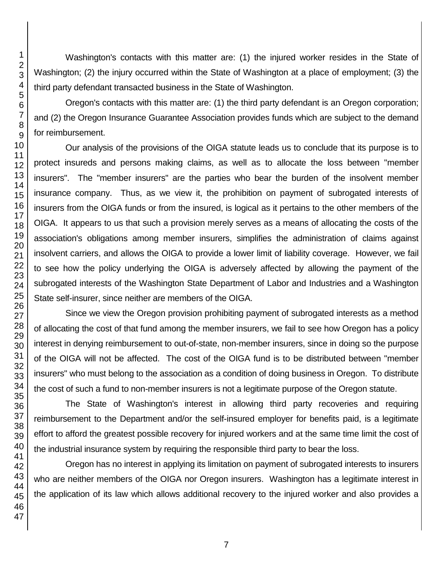Washington's contacts with this matter are: (1) the injured worker resides in the State of Washington; (2) the injury occurred within the State of Washington at a place of employment; (3) the third party defendant transacted business in the State of Washington.

Oregon's contacts with this matter are: (1) the third party defendant is an Oregon corporation; and (2) the Oregon Insurance Guarantee Association provides funds which are subject to the demand for reimbursement.

Our analysis of the provisions of the OIGA statute leads us to conclude that its purpose is to protect insureds and persons making claims, as well as to allocate the loss between "member insurers". The "member insurers" are the parties who bear the burden of the insolvent member insurance company. Thus, as we view it, the prohibition on payment of subrogated interests of insurers from the OIGA funds or from the insured, is logical as it pertains to the other members of the OIGA. It appears to us that such a provision merely serves as a means of allocating the costs of the association's obligations among member insurers, simplifies the administration of claims against insolvent carriers, and allows the OIGA to provide a lower limit of liability coverage. However, we fail to see how the policy underlying the OIGA is adversely affected by allowing the payment of the subrogated interests of the Washington State Department of Labor and Industries and a Washington State self-insurer, since neither are members of the OIGA.

Since we view the Oregon provision prohibiting payment of subrogated interests as a method of allocating the cost of that fund among the member insurers, we fail to see how Oregon has a policy interest in denying reimbursement to out-of-state, non-member insurers, since in doing so the purpose of the OIGA will not be affected. The cost of the OIGA fund is to be distributed between "member insurers" who must belong to the association as a condition of doing business in Oregon. To distribute the cost of such a fund to non-member insurers is not a legitimate purpose of the Oregon statute.

The State of Washington's interest in allowing third party recoveries and requiring reimbursement to the Department and/or the self-insured employer for benefits paid, is a legitimate effort to afford the greatest possible recovery for injured workers and at the same time limit the cost of the industrial insurance system by requiring the responsible third party to bear the loss.

Oregon has no interest in applying its limitation on payment of subrogated interests to insurers who are neither members of the OIGA nor Oregon insurers. Washington has a legitimate interest in the application of its law which allows additional recovery to the injured worker and also provides a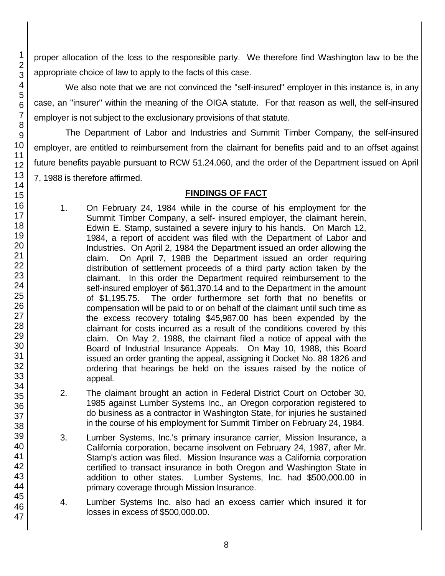proper allocation of the loss to the responsible party. We therefore find Washington law to be the appropriate choice of law to apply to the facts of this case.

We also note that we are not convinced the "self-insured" employer in this instance is, in any case, an "insurer" within the meaning of the OIGA statute. For that reason as well, the self-insured employer is not subject to the exclusionary provisions of that statute.

The Department of Labor and Industries and Summit Timber Company, the self-insured employer, are entitled to reimbursement from the claimant for benefits paid and to an offset against future benefits payable pursuant to RCW 51.24.060, and the order of the Department issued on April 7, 1988 is therefore affirmed.

## **FINDINGS OF FACT**

- 1. On February 24, 1984 while in the course of his employment for the Summit Timber Company, a self- insured employer, the claimant herein, Edwin E. Stamp, sustained a severe injury to his hands. On March 12, 1984, a report of accident was filed with the Department of Labor and Industries. On April 2, 1984 the Department issued an order allowing the claim. On April 7, 1988 the Department issued an order requiring distribution of settlement proceeds of a third party action taken by the claimant. In this order the Department required reimbursement to the self-insured employer of \$61,370.14 and to the Department in the amount of \$1,195.75. The order furthermore set forth that no benefits or compensation will be paid to or on behalf of the claimant until such time as the excess recovery totaling \$45,987.00 has been expended by the claimant for costs incurred as a result of the conditions covered by this claim. On May 2, 1988, the claimant filed a notice of appeal with the Board of Industrial Insurance Appeals. On May 10, 1988, this Board issued an order granting the appeal, assigning it Docket No. 88 1826 and ordering that hearings be held on the issues raised by the notice of appeal.
- 2. The claimant brought an action in Federal District Court on October 30, 1985 against Lumber Systems Inc., an Oregon corporation registered to do business as a contractor in Washington State, for injuries he sustained in the course of his employment for Summit Timber on February 24, 1984.
- 3. Lumber Systems, Inc.'s primary insurance carrier, Mission Insurance, a California corporation, became insolvent on February 24, 1987, after Mr. Stamp's action was filed. Mission Insurance was a California corporation certified to transact insurance in both Oregon and Washington State in addition to other states. Lumber Systems, Inc. had \$500,000.00 in primary coverage through Mission Insurance.
- 4. Lumber Systems Inc. also had an excess carrier which insured it for losses in excess of \$500,000.00.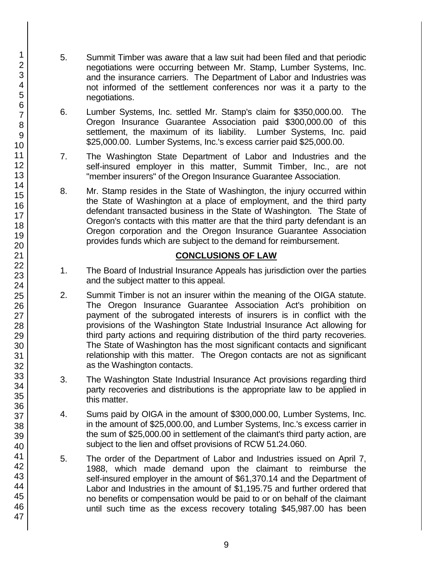- 5. Summit Timber was aware that a law suit had been filed and that periodic negotiations were occurring between Mr. Stamp, Lumber Systems, Inc. and the insurance carriers. The Department of Labor and Industries was not informed of the settlement conferences nor was it a party to the negotiations.
- 6. Lumber Systems, Inc. settled Mr. Stamp's claim for \$350,000.00. The Oregon Insurance Guarantee Association paid \$300,000.00 of this settlement, the maximum of its liability. Lumber Systems, Inc. paid \$25,000.00. Lumber Systems, Inc.'s excess carrier paid \$25,000.00.
- 7. The Washington State Department of Labor and Industries and the self-insured employer in this matter, Summit Timber, Inc., are not "member insurers" of the Oregon Insurance Guarantee Association.
- 8. Mr. Stamp resides in the State of Washington, the injury occurred within the State of Washington at a place of employment, and the third party defendant transacted business in the State of Washington. The State of Oregon's contacts with this matter are that the third party defendant is an Oregon corporation and the Oregon Insurance Guarantee Association provides funds which are subject to the demand for reimbursement.

#### **CONCLUSIONS OF LAW**

- 1. The Board of Industrial Insurance Appeals has jurisdiction over the parties and the subject matter to this appeal.
- 2. Summit Timber is not an insurer within the meaning of the OIGA statute. The Oregon Insurance Guarantee Association Act's prohibition on payment of the subrogated interests of insurers is in conflict with the provisions of the Washington State Industrial Insurance Act allowing for third party actions and requiring distribution of the third party recoveries. The State of Washington has the most significant contacts and significant relationship with this matter. The Oregon contacts are not as significant as the Washington contacts.
- 3. The Washington State Industrial Insurance Act provisions regarding third party recoveries and distributions is the appropriate law to be applied in this matter.
- 4. Sums paid by OIGA in the amount of \$300,000.00, Lumber Systems, Inc. in the amount of \$25,000.00, and Lumber Systems, Inc.'s excess carrier in the sum of \$25,000.00 in settlement of the claimant's third party action, are subject to the lien and offset provisions of RCW 51.24.060.
- 5. The order of the Department of Labor and Industries issued on April 7, 1988, which made demand upon the claimant to reimburse the self-insured employer in the amount of \$61,370.14 and the Department of Labor and Industries in the amount of \$1,195.75 and further ordered that no benefits or compensation would be paid to or on behalf of the claimant until such time as the excess recovery totaling \$45,987.00 has been